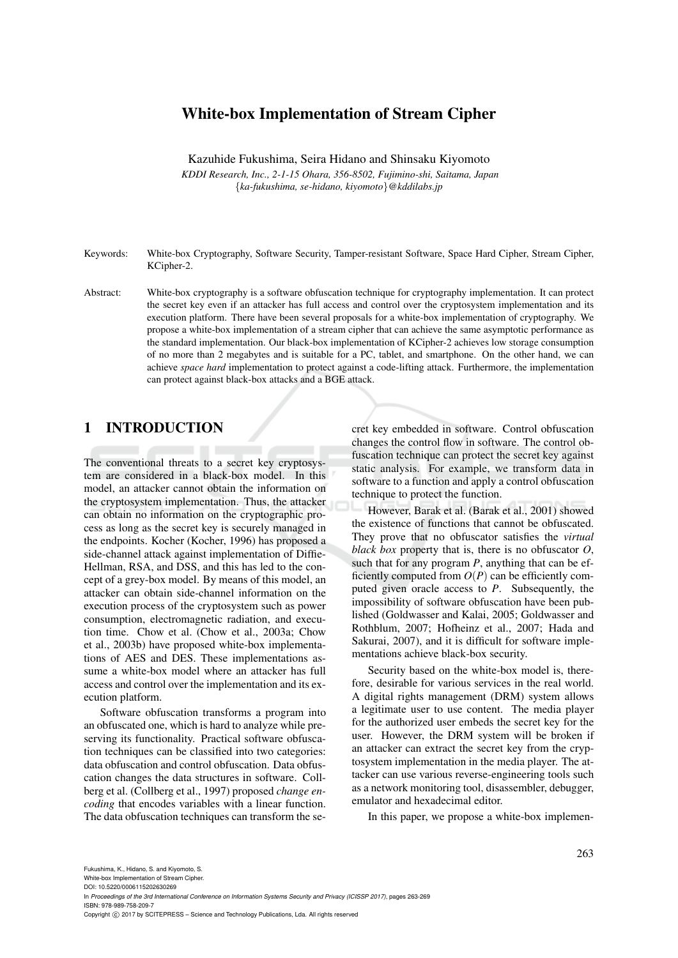# White-box Implementation of Stream Cipher

Kazuhide Fukushima, Seira Hidano and Shinsaku Kiyomoto

*KDDI Research, Inc., 2-1-15 Ohara, 356-8502, Fujimino-shi, Saitama, Japan* {*ka-fukushima, se-hidano, kiyomoto*}*@kddilabs.jp*

Keywords: White-box Cryptography, Software Security, Tamper-resistant Software, Space Hard Cipher, Stream Cipher, KCipher-2.

Abstract: White-box cryptography is a software obfuscation technique for cryptography implementation. It can protect the secret key even if an attacker has full access and control over the cryptosystem implementation and its execution platform. There have been several proposals for a white-box implementation of cryptography. We propose a white-box implementation of a stream cipher that can achieve the same asymptotic performance as the standard implementation. Our black-box implementation of KCipher-2 achieves low storage consumption of no more than 2 megabytes and is suitable for a PC, tablet, and smartphone. On the other hand, we can achieve *space hard* implementation to protect against a code-lifting attack. Furthermore, the implementation can protect against black-box attacks and a BGE attack.

# 1 INTRODUCTION

The conventional threats to a secret key cryptosystem are considered in a black-box model. In this model, an attacker cannot obtain the information on the cryptosystem implementation. Thus, the attacker can obtain no information on the cryptographic process as long as the secret key is securely managed in the endpoints. Kocher (Kocher, 1996) has proposed a side-channel attack against implementation of Diffie-Hellman, RSA, and DSS, and this has led to the concept of a grey-box model. By means of this model, an attacker can obtain side-channel information on the execution process of the cryptosystem such as power consumption, electromagnetic radiation, and execution time. Chow et al. (Chow et al., 2003a; Chow et al., 2003b) have proposed white-box implementations of AES and DES. These implementations assume a white-box model where an attacker has full access and control over the implementation and its execution platform.

Software obfuscation transforms a program into an obfuscated one, which is hard to analyze while preserving its functionality. Practical software obfuscation techniques can be classified into two categories: data obfuscation and control obfuscation. Data obfuscation changes the data structures in software. Collberg et al. (Collberg et al., 1997) proposed *change encoding* that encodes variables with a linear function. The data obfuscation techniques can transform the secret key embedded in software. Control obfuscation changes the control flow in software. The control obfuscation technique can protect the secret key against static analysis. For example, we transform data in software to a function and apply a control obfuscation technique to protect the function.

However, Barak et al. (Barak et al., 2001) showed the existence of functions that cannot be obfuscated. They prove that no obfuscator satisfies the *virtual black box* property that is, there is no obfuscator *O*, such that for any program *P*, anything that can be efficiently computed from  $O(P)$  can be efficiently computed given oracle access to *P*. Subsequently, the impossibility of software obfuscation have been published (Goldwasser and Kalai, 2005; Goldwasser and Rothblum, 2007; Hofheinz et al., 2007; Hada and Sakurai, 2007), and it is difficult for software implementations achieve black-box security.

Security based on the white-box model is, therefore, desirable for various services in the real world. A digital rights management (DRM) system allows a legitimate user to use content. The media player for the authorized user embeds the secret key for the user. However, the DRM system will be broken if an attacker can extract the secret key from the cryptosystem implementation in the media player. The attacker can use various reverse-engineering tools such as a network monitoring tool, disassembler, debugger, emulator and hexadecimal editor.

In this paper, we propose a white-box implemen-

White-box Implementation of Stream Cipher.

DOI: 10.5220/0006115202630269 In *Proceedings of the 3rd International Conference on Information Systems Security and Privacy (ICISSP 2017)*, pages 263-269

ISBN: 978-989-758-209-7

Copyright © 2017 by SCITEPRESS - Science and Technology Publications, Lda. All rights reserved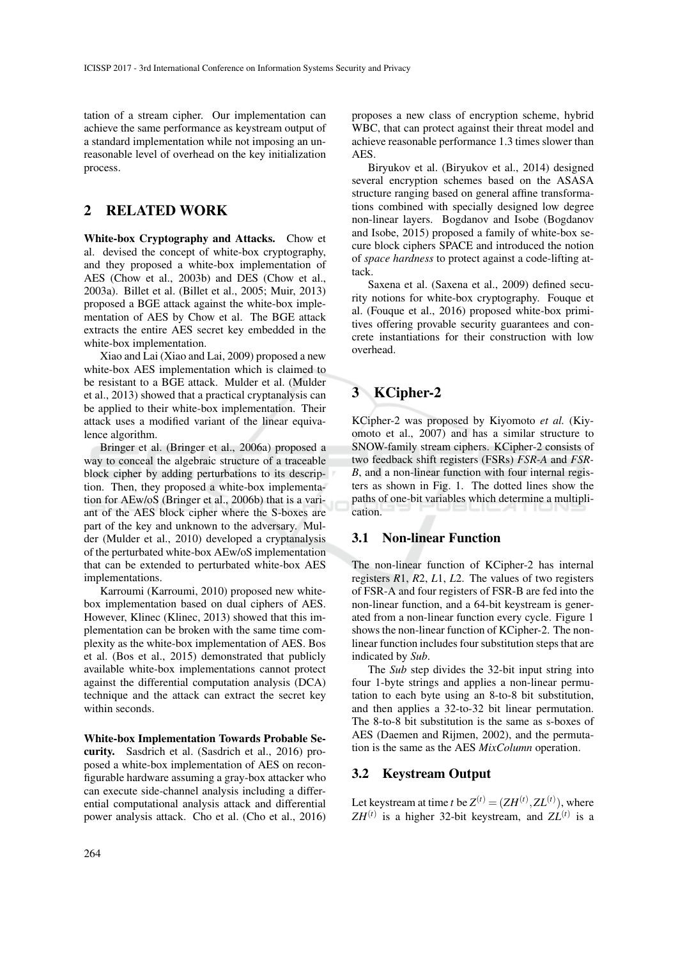tation of a stream cipher. Our implementation can achieve the same performance as keystream output of a standard implementation while not imposing an unreasonable level of overhead on the key initialization process.

# 2 RELATED WORK

White-box Cryptography and Attacks. Chow et al. devised the concept of white-box cryptography, and they proposed a white-box implementation of AES (Chow et al., 2003b) and DES (Chow et al., 2003a). Billet et al. (Billet et al., 2005; Muir, 2013) proposed a BGE attack against the white-box implementation of AES by Chow et al. The BGE attack extracts the entire AES secret key embedded in the white-box implementation.

Xiao and Lai (Xiao and Lai, 2009) proposed a new white-box AES implementation which is claimed to be resistant to a BGE attack. Mulder et al. (Mulder et al., 2013) showed that a practical cryptanalysis can be applied to their white-box implementation. Their attack uses a modified variant of the linear equivalence algorithm.

Bringer et al. (Bringer et al., 2006a) proposed a way to conceal the algebraic structure of a traceable block cipher by adding perturbations to its description. Then, they proposed a white-box implementation for AEw/oS (Bringer et al., 2006b) that is a variant of the AES block cipher where the S-boxes are part of the key and unknown to the adversary. Mulder (Mulder et al., 2010) developed a cryptanalysis of the perturbated white-box AEw/oS implementation that can be extended to perturbated white-box AES implementations.

Karroumi (Karroumi, 2010) proposed new whitebox implementation based on dual ciphers of AES. However, Klinec (Klinec, 2013) showed that this implementation can be broken with the same time complexity as the white-box implementation of AES. Bos et al. (Bos et al., 2015) demonstrated that publicly available white-box implementations cannot protect against the differential computation analysis (DCA) technique and the attack can extract the secret key within seconds.

White-box Implementation Towards Probable Security. Sasdrich et al. (Sasdrich et al., 2016) proposed a white-box implementation of AES on reconfigurable hardware assuming a gray-box attacker who can execute side-channel analysis including a differential computational analysis attack and differential power analysis attack. Cho et al. (Cho et al., 2016)

proposes a new class of encryption scheme, hybrid WBC, that can protect against their threat model and achieve reasonable performance 1.3 times slower than AES.

Biryukov et al. (Biryukov et al., 2014) designed several encryption schemes based on the ASASA structure ranging based on general affine transformations combined with specially designed low degree non-linear layers. Bogdanov and Isobe (Bogdanov and Isobe, 2015) proposed a family of white-box secure block ciphers SPACE and introduced the notion of *space hardness* to protect against a code-lifting attack.

Saxena et al. (Saxena et al., 2009) defined security notions for white-box cryptography. Fouque et al. (Fouque et al., 2016) proposed white-box primitives offering provable security guarantees and concrete instantiations for their construction with low overhead.

# 3 KCipher-2

KCipher-2 was proposed by Kiyomoto *et al.* (Kiyomoto et al., 2007) and has a similar structure to SNOW-family stream ciphers. KCipher-2 consists of two feedback shift registers (FSRs) *FSR-A* and *FSR-B*, and a non-linear function with four internal registers as shown in Fig. 1. The dotted lines show the paths of one-bit variables which determine a multiplication.

### 3.1 Non-linear Function

The non-linear function of KCipher-2 has internal registers *R*1, *R*2, *L*1, *L*2. The values of two registers of FSR-A and four registers of FSR-B are fed into the non-linear function, and a 64-bit keystream is generated from a non-linear function every cycle. Figure 1 shows the non-linear function of KCipher-2. The nonlinear function includes four substitution steps that are indicated by *Sub*.

The *Sub* step divides the 32-bit input string into four 1-byte strings and applies a non-linear permutation to each byte using an 8-to-8 bit substitution, and then applies a 32-to-32 bit linear permutation. The 8-to-8 bit substitution is the same as s-boxes of AES (Daemen and Rijmen, 2002), and the permutation is the same as the AES *MixColumn* operation.

### 3.2 Keystream Output

Let keystream at time *t* be  $Z^{(t)} = (ZH^{(t)}, ZL^{(t)})$ , where  $ZH^{(t)}$  is a higher 32-bit keystream, and  $ZL^{(t)}$  is a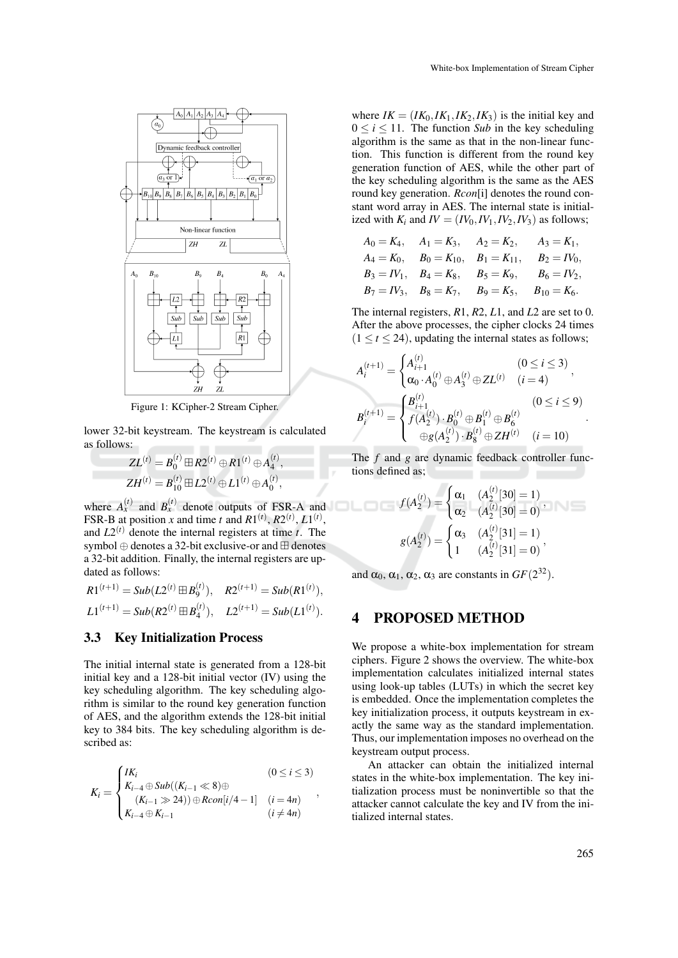

Figure 1: KCipher-2 Stream Cipher.

lower 32-bit keystream. The keystream is calculated as follows:

$$
ZL^{(t)} = B_0^{(t)} \boxplus R2^{(t)} \oplus R1^{(t)} \oplus A_4^{(t)},
$$
  

$$
ZH^{(t)} = B_{10}^{(t)} \boxplus L2^{(t)} \oplus L1^{(t)} \oplus A_0^{(t)},
$$

where  $A_x^{(t)}$  and  $B_x^{(t)}$  denote outputs of FSR-A and FSR-B at position *x* and time *t* and  $R1^{(t)}$ ,  $R2^{(t)}$ ,  $L1^{(t)}$ , and  $L2^{(t)}$  denote the internal registers at time *t*. The symbol  $\oplus$  denotes a 32-bit exclusive-or and  $\boxplus$  denotes a 32-bit addition. Finally, the internal registers are updated as follows:

$$
R1^{(t+1)} = Sub(L2^{(t)} \boxplus B_9^{(t)}), \quad R2^{(t+1)} = Sub(R1^{(t)}),
$$
  

$$
L1^{(t+1)} = Sub(R2^{(t)} \boxplus B_4^{(t)}), \quad L2^{(t+1)} = Sub(L1^{(t)}).
$$

#### 3.3 Key Initialization Process

The initial internal state is generated from a 128-bit initial key and a 128-bit initial vector (IV) using the key scheduling algorithm. The key scheduling algorithm is similar to the round key generation function of AES, and the algorithm extends the 128-bit initial key to 384 bits. The key scheduling algorithm is described as:

$$
K_{i} = \begin{cases} IK_{i} & (0 \leq i \leq 3) \\ K_{i-4} \oplus Sub((K_{i-1} \ll 8) \oplus \\ (K_{i-1} \gg 24)) \oplus Rcon[i/4-1] & (i = 4n) \\ K_{i-4} \oplus K_{i-1} & (i \neq 4n) \end{cases}
$$

where  $IK = (IK_0, IK_1, IK_2, IK_3)$  is the initial key and  $0 \le i \le 11$ . The function *Sub* in the key scheduling algorithm is the same as that in the non-linear function. This function is different from the round key generation function of AES, while the other part of the key scheduling algorithm is the same as the AES round key generation. *Rcon*[i] denotes the round constant word array in AES. The internal state is initialized with  $K_i$  and  $IV = (IV_0, IV_1, IV_2, IV_3)$  as follows;

$$
A_0 = K_4, \t A_1 = K_3, \t A_2 = K_2, \t A_3 = K_1,
$$
  
\n
$$
A_4 = K_0, \t B_0 = K_{10}, \t B_1 = K_{11}, \t B_2 = IV_0,
$$
  
\n
$$
B_3 = IV_1, \t B_4 = K_8, \t B_5 = K_9, \t B_6 = IV_2,
$$
  
\n
$$
B_7 = IV_3, \t B_8 = K_7, \t B_9 = K_5, \t B_{10} = K_6.
$$

The internal registers, *R*1, *R*2, *L*1, and *L*2 are set to 0. After the above processes, the cipher clocks 24 times  $(1 \le t \le 24)$ , updating the internal states as follows;

$$
A_i^{(t+1)} = \begin{cases} A_{i+1}^{(t)} & (0 \le i \le 3) \\ \alpha_0 \cdot A_0^{(t)} \oplus A_3^{(t)} \oplus ZL^{(t)} & (i = 4) \end{cases},
$$
  
\n
$$
B_i^{(t+1)} = \begin{cases} B_{i+1}^{(t)} & (0 \le i \le 9) \\ f(A_2^{(t)}) \cdot B_0^{(t)} \oplus B_1^{(t)} \oplus B_6^{(t)} \\ \oplus g(A_2^{(t)}) \cdot B_8^{(t)} \oplus ZH^{(t)} & (i = 10) \end{cases}.
$$

The *f* and *g* are dynamic feedback controller functions defined as;

$$
f(A_2^{(t)}) = \begin{cases} \alpha_1 & (A_2^{(t)}[30] = 1) \\ \alpha_2 & (A_2^{(t)}[30] = 0) \end{cases},
$$

$$
g(A_2^{(t)}) = \begin{cases} \alpha_3 & (A_2^{(t)}[31] = 1) \\ 1 & (A_2^{(t)}[31] = 0) \end{cases},
$$

and  $\alpha_0$ ,  $\alpha_1$ ,  $\alpha_2$ ,  $\alpha_3$  are constants in  $GF(2^{32})$ .

## 4 PROPOSED METHOD

We propose a white-box implementation for stream ciphers. Figure 2 shows the overview. The white-box implementation calculates initialized internal states using look-up tables (LUTs) in which the secret key is embedded. Once the implementation completes the key initialization process, it outputs keystream in exactly the same way as the standard implementation. Thus, our implementation imposes no overhead on the keystream output process.

An attacker can obtain the initialized internal states in the white-box implementation. The key initialization process must be noninvertible so that the attacker cannot calculate the key and IV from the initialized internal states.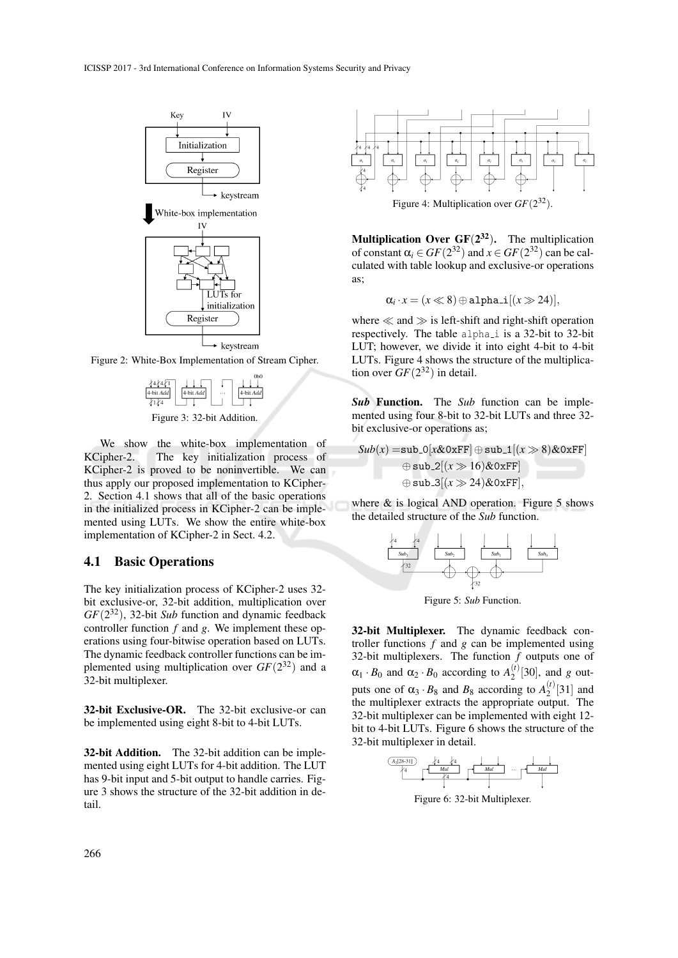

Figure 2: White-Box Implementation of Stream Cipher.



Figure 3: 32-bit Addition.

We show the white-box implementation of KCipher-2. The key initialization process of KCipher-2 is proved to be noninvertible. We can thus apply our proposed implementation to KCipher-2. Section 4.1 shows that all of the basic operations in the initialized process in KCipher-2 can be implemented using LUTs. We show the entire white-box implementation of KCipher-2 in Sect. 4.2.

### 4.1 Basic Operations

The key initialization process of KCipher-2 uses 32 bit exclusive-or, 32-bit addition, multiplication over *GF*(2 <sup>32</sup>), 32-bit *Sub* function and dynamic feedback controller function *f* and *g*. We implement these operations using four-bitwise operation based on LUTs. The dynamic feedback controller functions can be implemented using multiplication over  $GF(2^{32})$  and a 32-bit multiplexer.

32-bit Exclusive-OR. The 32-bit exclusive-or can be implemented using eight 8-bit to 4-bit LUTs.

32-bit Addition. The 32-bit addition can be implemented using eight LUTs for 4-bit addition. The LUT has 9-bit input and 5-bit output to handle carries. Figure 3 shows the structure of the 32-bit addition in detail.



Figure 4: Multiplication over  $GF(2^{32})$ .

**Multiplication Over GF** $(2^{32})$ . The multiplication of constant  $\alpha_i \in GF(2^{32})$  and  $x \in GF(2^{32})$  can be calculated with table lookup and exclusive-or operations as;

$$
\alpha_i \cdot x = (x \ll 8) \oplus \text{alpha_i}[(x \gg 24)],
$$

where  $\ll$  and  $\gg$  is left-shift and right-shift operation respectively. The table alpha<sub>i</sub> is a 32-bit to 32-bit LUT; however, we divide it into eight 4-bit to 4-bit LUTs. Figure 4 shows the structure of the multiplication over  $GF(2^{32})$  in detail.

*Sub* Function. The *Sub* function can be implemented using four 8-bit to 32-bit LUTs and three 32 bit exclusive-or operations as;

$$
Sub(x) = sub_0[x&0xFF] \oplus sub_1[(x \gg 8) &0xFF]
$$
  

$$
\oplus sub_2[(x \gg 16) &0xFF]
$$
  

$$
\oplus sub_3[(x \gg 24) &0xFF],
$$

where  $\&$  is logical AND operation. Figure 5 shows the detailed structure of the *Sub* function.



Figure 5: *Sub* Function.

32-bit Multiplexer. The dynamic feedback controller functions *f* and *g* can be implemented using 32-bit multiplexers. The function *f* outputs one of  $\alpha_1 \cdot B_0$  and  $\alpha_2 \cdot B_0$  according to  $A_2^{(t)}$  $2^{(1)}$ [30], and *g* outputs one of  $\alpha_3 \cdot B_8$  and  $B_8$  according to  $A_2^{(t)}$  $2^{(1)}$ [31] and the multiplexer extracts the appropriate output. The 32-bit multiplexer can be implemented with eight 12 bit to 4-bit LUTs. Figure 6 shows the structure of the 32-bit multiplexer in detail.



Figure 6: 32-bit Multiplexer.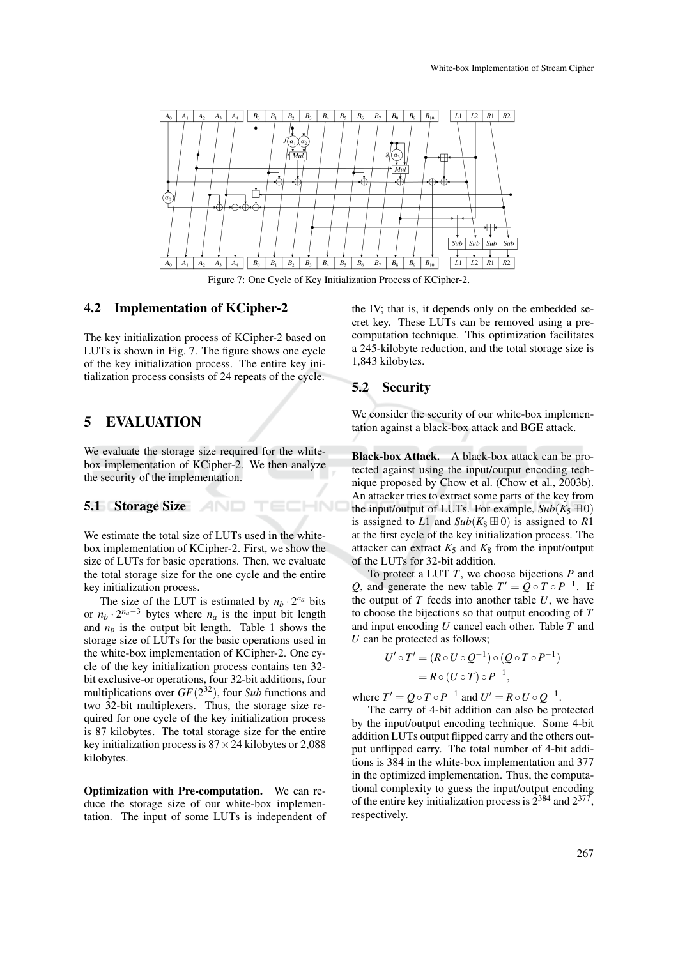

Figure 7: One Cycle of Key Initialization Process of KCipher-2.

HNC

#### 4.2 Implementation of KCipher-2

The key initialization process of KCipher-2 based on LUTs is shown in Fig. 7. The figure shows one cycle of the key initialization process. The entire key initialization process consists of 24 repeats of the cycle.

## 5 EVALUATION

We evaluate the storage size required for the whitebox implementation of KCipher-2. We then analyze the security of the implementation.

#### 5.1 Storage Size

We estimate the total size of LUTs used in the whitebox implementation of KCipher-2. First, we show the size of LUTs for basic operations. Then, we evaluate the total storage size for the one cycle and the entire key initialization process.

The size of the LUT is estimated by  $n_b \cdot 2^{n_a}$  bits or  $n_b \cdot 2^{n_a-3}$  bytes where  $n_a$  is the input bit length and  $n_b$  is the output bit length. Table 1 shows the storage size of LUTs for the basic operations used in the white-box implementation of KCipher-2. One cycle of the key initialization process contains ten 32 bit exclusive-or operations, four 32-bit additions, four multiplications over *GF*(2 <sup>32</sup>), four *Sub* functions and two 32-bit multiplexers. Thus, the storage size required for one cycle of the key initialization process is 87 kilobytes. The total storage size for the entire key initialization process is  $87 \times 24$  kilobytes or 2,088 kilobytes.

Optimization with Pre-computation. We can reduce the storage size of our white-box implementation. The input of some LUTs is independent of the IV; that is, it depends only on the embedded secret key. These LUTs can be removed using a precomputation technique. This optimization facilitates a 245-kilobyte reduction, and the total storage size is 1,843 kilobytes.

## 5.2 Security

We consider the security of our white-box implementation against a black-box attack and BGE attack.

Black-box Attack. A black-box attack can be protected against using the input/output encoding technique proposed by Chow et al. (Chow et al., 2003b). An attacker tries to extract some parts of the key from the input/output of LUTs. For example,  $Sub(K_5 \boxplus 0)$ is assigned to *L*1 and *Sub*( $K_8 \boxplus 0$ ) is assigned to *R*1 at the first cycle of the key initialization process. The attacker can extract  $K_5$  and  $K_8$  from the input/output of the LUTs for 32-bit addition.

To protect a LUT *T*, we choose bijections *P* and *Q*, and generate the new table  $T' = Q \circ T \circ P^{-1}$ . If the output of *T* feeds into another table *U*, we have to choose the bijections so that output encoding of *T* and input encoding *U* cancel each other. Table *T* and *U* can be protected as follows;

$$
U' \circ T' = (R \circ U \circ Q^{-1}) \circ (Q \circ T \circ P^{-1})
$$
  
=  $R \circ (U \circ T) \circ P^{-1}$ ,

where  $T' = Q \circ T \circ P^{-1}$  and  $U' = R \circ U \circ Q^{-1}$ .

The carry of 4-bit addition can also be protected by the input/output encoding technique. Some 4-bit addition LUTs output flipped carry and the others output unflipped carry. The total number of 4-bit additions is 384 in the white-box implementation and 377 in the optimized implementation. Thus, the computational complexity to guess the input/output encoding of the entire key initialization process is  $2^{384}$  and  $2^{377}$ , respectively.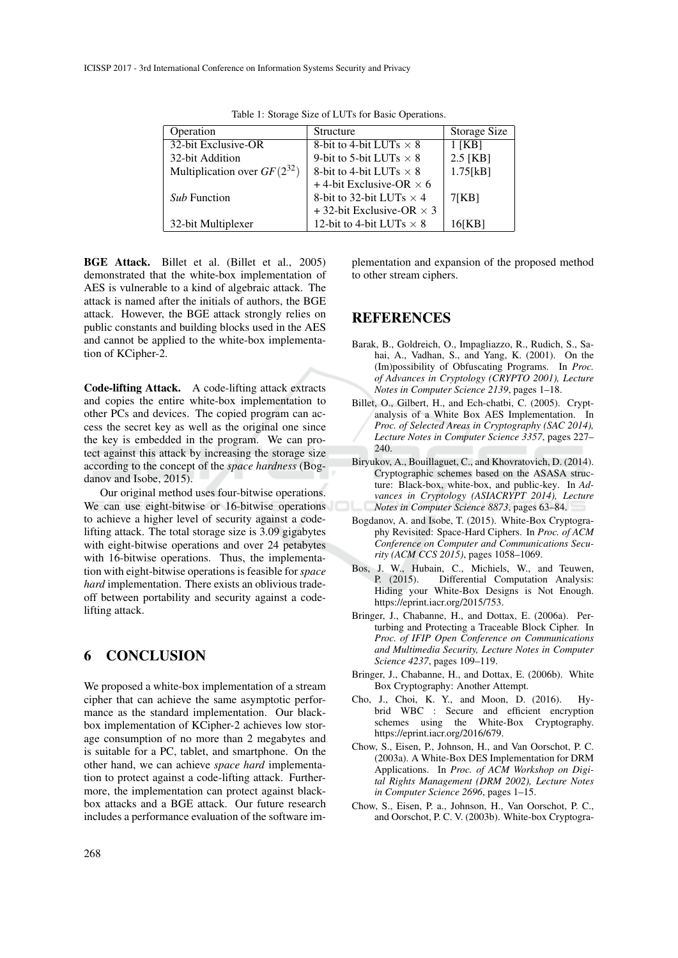| Operation                        | Structure                        | Storage Size |
|----------------------------------|----------------------------------|--------------|
| 32-bit Exclusive-OR              | 8-bit to 4-bit LUTs $\times$ 8   | $1$ [KB]     |
| 32-bit Addition                  | 9-bit to 5-bit LUTs $\times$ 8   | $2.5$ [KB]   |
| Multiplication over $GF(2^{32})$ | 8-bit to 4-bit LUTs $\times$ 8   | 1.75[kB]     |
|                                  | +4-bit Exclusive-OR $\times$ 6   |              |
| <i>Sub</i> Function              | 8-bit to 32-bit LUTs $\times$ 4  | 7[KB]        |
|                                  | + 32-bit Exclusive-OR $\times$ 3 |              |
| 32-bit Multiplexer               | 12-bit to 4-bit LUTs $\times$ 8  | 16[KB]       |
|                                  |                                  |              |

Table 1: Storage Size of LUTs for Basic Operations.

BGE Attack. Billet et al. (Billet et al., 2005) demonstrated that the white-box implementation of AES is vulnerable to a kind of algebraic attack. The attack is named after the initials of authors, the BGE attack. However, the BGE attack strongly relies on public constants and building blocks used in the AES and cannot be applied to the white-box implementation of KCipher-2.

Code-lifting Attack. A code-lifting attack extracts and copies the entire white-box implementation to other PCs and devices. The copied program can access the secret key as well as the original one since the key is embedded in the program. We can protect against this attack by increasing the storage size according to the concept of the *space hardness* (Bogdanov and Isobe, 2015).

Our original method uses four-bitwise operations. We can use eight-bitwise or 16-bitwise operations to achieve a higher level of security against a codelifting attack. The total storage size is 3.09 gigabytes with eight-bitwise operations and over 24 petabytes with 16-bitwise operations. Thus, the implementation with eight-bitwise operations is feasible for *space hard* implementation. There exists an oblivious tradeoff between portability and security against a codelifting attack.

# 6 CONCLUSION

We proposed a white-box implementation of a stream cipher that can achieve the same asymptotic performance as the standard implementation. Our blackbox implementation of KCipher-2 achieves low storage consumption of no more than 2 megabytes and is suitable for a PC, tablet, and smartphone. On the other hand, we can achieve *space hard* implementation to protect against a code-lifting attack. Furthermore, the implementation can protect against blackbox attacks and a BGE attack. Our future research includes a performance evaluation of the software implementation and expansion of the proposed method to other stream ciphers.

# **REFERENCES**

- Barak, B., Goldreich, O., Impagliazzo, R., Rudich, S., Sahai, A., Vadhan, S., and Yang, K. (2001). On the (Im)possibility of Obfuscating Programs. In *Proc. of Advances in Cryptology (CRYPTO 2001), Lecture Notes in Computer Science 2139*, pages 1–18.
- Billet, O., Gilbert, H., and Ech-chatbi, C. (2005). Cryptanalysis of a White Box AES Implementation. In *Proc. of Selected Areas in Cryptography (SAC 2014), Lecture Notes in Computer Science 3357*, pages 227– 240.
- Biryukov, A., Bouillaguet, C., and Khovratovich, D. (2014). Cryptographic schemes based on the ASASA structure: Black-box, white-box, and public-key. In *Advances in Cryptology (ASIACRYPT 2014), Lecture Notes in Computer Science 8873*, pages 63–84.
- Bogdanov, A. and Isobe, T. (2015). White-Box Cryptography Revisited: Space-Hard Ciphers. In *Proc. of ACM Conference on Computer and Communications Security (ACM CCS 2015)*, pages 1058–1069.
- Bos, J. W., Hubain, C., Michiels, W., and Teuwen,<br>P. (2015). Differential Computation Analysis: Differential Computation Analysis: Hiding your White-Box Designs is Not Enough. https://eprint.iacr.org/2015/753.
- Bringer, J., Chabanne, H., and Dottax, E. (2006a). Perturbing and Protecting a Traceable Block Cipher. In *Proc. of IFIP Open Conference on Communications and Multimedia Security, Lecture Notes in Computer Science 4237*, pages 109–119.
- Bringer, J., Chabanne, H., and Dottax, E. (2006b). White Box Cryptography: Another Attempt.
- Cho, J., Choi, K. Y., and Moon, D. (2016). Hybrid WBC : Secure and efficient encryption schemes using the White-Box Cryptography. https://eprint.iacr.org/2016/679.
- Chow, S., Eisen, P., Johnson, H., and Van Oorschot, P. C. (2003a). A White-Box DES Implementation for DRM Applications. In *Proc. of ACM Workshop on Digital Rights Management (DRM 2002), Lecture Notes in Computer Science 2696*, pages 1–15.
- Chow, S., Eisen, P. a., Johnson, H., Van Oorschot, P. C., and Oorschot, P. C. V. (2003b). White-box Cryptogra-